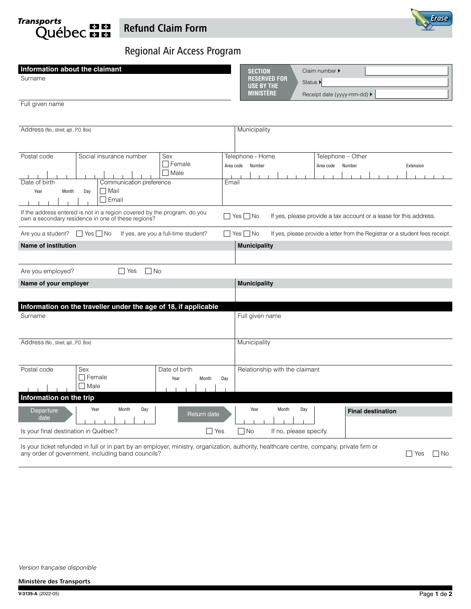**Transports Québec mm** 



# Regional Air Access Program

| Information about the claimant<br>Surname<br>Full given name                                                                                                                                                                                        | <b>SECTION</b><br>Claim number $\blacktriangleright$<br><b>RESERVED FOR</b><br>Status $\blacktriangleright$<br><b>USE BY THE</b><br><b>MINISTÈRE</b><br>Receipt date (yyyy-mm-dd) ▶ |  |
|-----------------------------------------------------------------------------------------------------------------------------------------------------------------------------------------------------------------------------------------------------|-------------------------------------------------------------------------------------------------------------------------------------------------------------------------------------|--|
| Address (No., street, apt., P.O. Box)                                                                                                                                                                                                               | Municipality                                                                                                                                                                        |  |
| Postal code<br>Sex<br>Social insurance number<br>$\Box$ Female<br>$\Box$ Male<br>Communication preference<br>Email<br>Date of birth<br><b>□</b> Mail<br>Year<br>Month<br>Day<br>Email                                                               | Telephone - Home<br>Telephone - Other<br>Area code<br>Number<br>Area code Number<br>Extension                                                                                       |  |
| If the address entered is not in a region covered by the program, do you<br>$\Box$ Yes $\Box$ No<br>If yes, please provide a tax account or a lease for this address.<br>own a secondary residence in one of these regions?<br>$\Box$ Yes $\Box$ No |                                                                                                                                                                                     |  |
| Are you a student? $\Box$ Yes $\Box$ No<br>If yes, are you a full-time student?<br><b>Name of institution</b>                                                                                                                                       | If yes, please provide a letter from the Registrar or a student fees receipt.                                                                                                       |  |
|                                                                                                                                                                                                                                                     | <b>Municipality</b>                                                                                                                                                                 |  |
| $\Box$ No<br>Are you employed?<br><b>Nes</b>                                                                                                                                                                                                        |                                                                                                                                                                                     |  |
| Name of your employer                                                                                                                                                                                                                               | <b>Municipality</b>                                                                                                                                                                 |  |
|                                                                                                                                                                                                                                                     |                                                                                                                                                                                     |  |
| Information on the traveller under the age of 18, if applicable<br>Surname                                                                                                                                                                          | Full given name                                                                                                                                                                     |  |
| Address (No., street, apt., P.O. Box)                                                                                                                                                                                                               | Municipality                                                                                                                                                                        |  |
| Postal code<br>Sex<br>Date of birth<br>$\Box$ Female<br>Year<br>Month<br>Day<br>$\Box$ Male<br>Information on the trip                                                                                                                              | Relationship with the claimant                                                                                                                                                      |  |
| Year<br>Month<br>Day<br>Departure                                                                                                                                                                                                                   | Year<br>Month<br>Day<br><b>Final destination</b>                                                                                                                                    |  |
| Return date<br>date<br>Is your final destination in Québec?<br>l Yes                                                                                                                                                                                | No<br>If no, please specify.                                                                                                                                                        |  |

Is your ticket refunded in full or in part by an employer, ministry, organization, authority, healthcare centre, company, private firm or any order of government, including band councils? ■ Yes ■ No